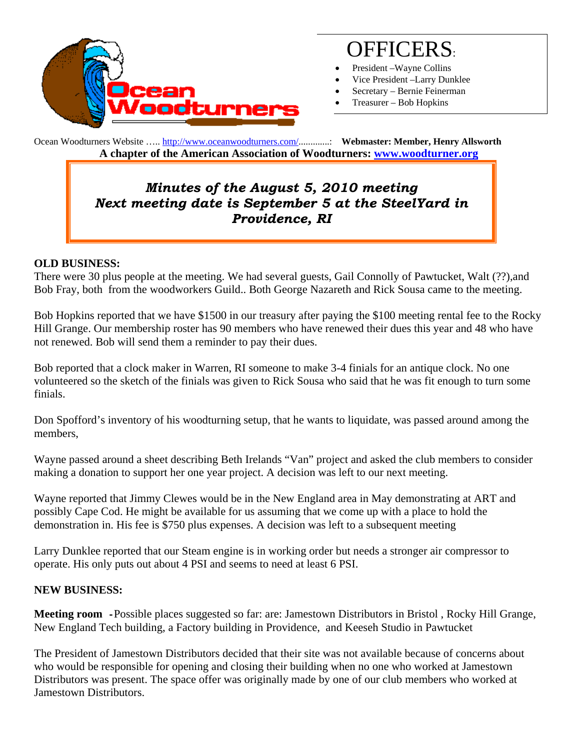

# OFFICERS:

- President Wayne Collins
- Vice President –Larry Dunklee
- Secretary Bernie Feinerman
- Treasurer Bob Hopkins

Ocean Woodturners Website ….. http://www.oceanwoodturners.com/.............: **Webmaster: Member, Henry Allsworth A chapter of the American Association of Woodturners: www.woodturner.org** 

# *Minutes of the August 5, 2010 meeting Next meeting date is September 5 at the SteelYard in Providence, RI*

### **OLD BUSINESS:**

There were 30 plus people at the meeting. We had several guests, Gail Connolly of Pawtucket, Walt (??),and Bob Fray, both from the woodworkers Guild.. Both George Nazareth and Rick Sousa came to the meeting.

Bob Hopkins reported that we have \$1500 in our treasury after paying the \$100 meeting rental fee to the Rocky Hill Grange. Our membership roster has 90 members who have renewed their dues this year and 48 who have not renewed. Bob will send them a reminder to pay their dues.

Bob reported that a clock maker in Warren, RI someone to make 3-4 finials for an antique clock. No one volunteered so the sketch of the finials was given to Rick Sousa who said that he was fit enough to turn some finials.

Don Spofford's inventory of his woodturning setup, that he wants to liquidate, was passed around among the members,

Wayne passed around a sheet describing Beth Irelands "Van" project and asked the club members to consider making a donation to support her one year project. A decision was left to our next meeting.

Wayne reported that Jimmy Clewes would be in the New England area in May demonstrating at ART and possibly Cape Cod. He might be available for us assuming that we come up with a place to hold the demonstration in. His fee is \$750 plus expenses. A decision was left to a subsequent meeting

Larry Dunklee reported that our Steam engine is in working order but needs a stronger air compressor to operate. His only puts out about 4 PSI and seems to need at least 6 PSI.

### **NEW BUSINESS:**

**Meeting room -**Possible places suggested so far: are: Jamestown Distributors in Bristol , Rocky Hill Grange, New England Tech building, a Factory building in Providence, and Keeseh Studio in Pawtucket

The President of Jamestown Distributors decided that their site was not available because of concerns about who would be responsible for opening and closing their building when no one who worked at Jamestown Distributors was present. The space offer was originally made by one of our club members who worked at Jamestown Distributors.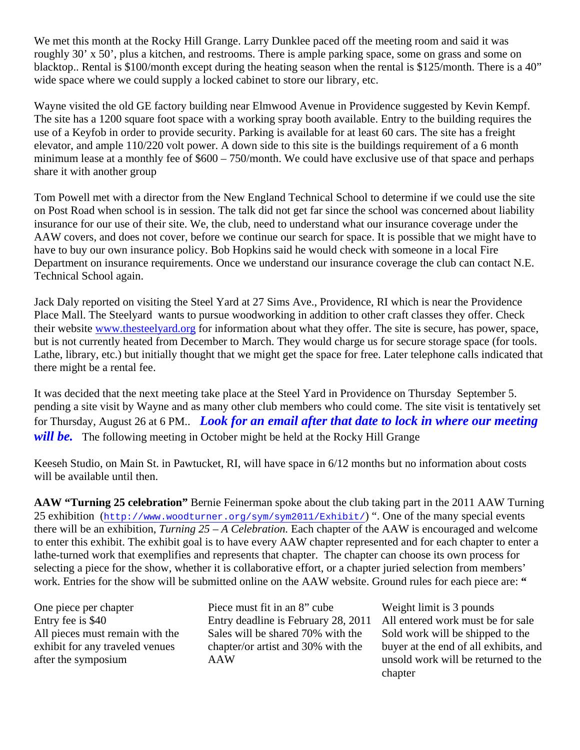We met this month at the Rocky Hill Grange. Larry Dunklee paced off the meeting room and said it was roughly 30' x 50', plus a kitchen, and restrooms. There is ample parking space, some on grass and some on blacktop.. Rental is \$100/month except during the heating season when the rental is \$125/month. There is a 40" wide space where we could supply a locked cabinet to store our library, etc.

Wayne visited the old GE factory building near Elmwood Avenue in Providence suggested by Kevin Kempf. The site has a 1200 square foot space with a working spray booth available. Entry to the building requires the use of a Keyfob in order to provide security. Parking is available for at least 60 cars. The site has a freight elevator, and ample 110/220 volt power. A down side to this site is the buildings requirement of a 6 month minimum lease at a monthly fee of \$600 – 750/month. We could have exclusive use of that space and perhaps share it with another group

Tom Powell met with a director from the New England Technical School to determine if we could use the site on Post Road when school is in session. The talk did not get far since the school was concerned about liability insurance for our use of their site. We, the club, need to understand what our insurance coverage under the AAW covers, and does not cover, before we continue our search for space. It is possible that we might have to have to buy our own insurance policy. Bob Hopkins said he would check with someone in a local Fire Department on insurance requirements. Once we understand our insurance coverage the club can contact N.E. Technical School again.

Jack Daly reported on visiting the Steel Yard at 27 Sims Ave., Providence, RI which is near the Providence Place Mall. The Steelyard wants to pursue woodworking in addition to other craft classes they offer. Check their website www.thesteelyard.org for information about what they offer. The site is secure, has power, space, but is not currently heated from December to March. They would charge us for secure storage space (for tools. Lathe, library, etc.) but initially thought that we might get the space for free. Later telephone calls indicated that there might be a rental fee.

It was decided that the next meeting take place at the Steel Yard in Providence on Thursday September 5. pending a site visit by Wayne and as many other club members who could come. The site visit is tentatively set for Thursday, August 26 at 6 PM.. *Look for an email after that date to lock in where our meeting will be.* The following meeting in October might be held at the Rocky Hill Grange

Keeseh Studio, on Main St. in Pawtucket, RI, will have space in 6/12 months but no information about costs will be available until then.

**AAW "Turning 25 celebration"** Bernie Feinerman spoke about the club taking part in the 2011 AAW Turning 25 exhibition (http://www.woodturner.org/sym/sym2011/Exhibit/) ". One of the many special events there will be an exhibition, *Turning 25 – A Celebration.* Each chapter of the AAW is encouraged and welcome to enter this exhibit. The exhibit goal is to have every AAW chapter represented and for each chapter to enter a lathe-turned work that exemplifies and represents that chapter. The chapter can choose its own process for selecting a piece for the show, whether it is collaborative effort, or a chapter juried selection from members' work. Entries for the show will be submitted online on the AAW website. Ground rules for each piece are: "

One piece per chapter Piece must fit in an 8" cube Weight limit is 3 pounds All pieces must remain with the exhibit for any traveled venues after the symposium

Entry fee is \$40 Entry deadline is February 28, 2011 All entered work must be for sale Sales will be shared 70% with the chapter/or artist and 30% with the AAW

Sold work will be shipped to the buyer at the end of all exhibits, and unsold work will be returned to the chapter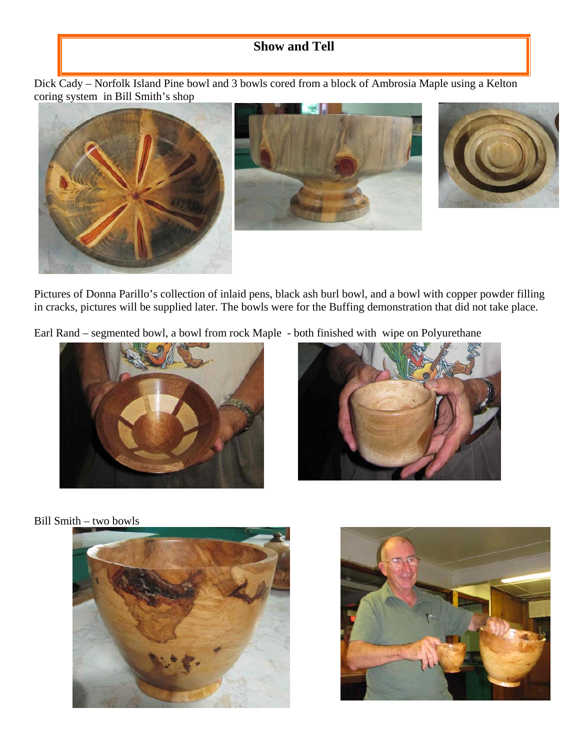# **Show and Tell**

Dick Cady – Norfolk Island Pine bowl and 3 bowls cored from a block of Ambrosia Maple using a Kelton coring system in Bill Smith's shop







Pictures of Donna Parillo's collection of inlaid pens, black ash burl bowl, and a bowl with copper powder filling in cracks, pictures will be supplied later. The bowls were for the Buffing demonstration that did not take place.

Earl Rand – segmented bowl, a bowl from rock Maple - both finished with wipe on Polyurethane





Bill Smith – two bowls